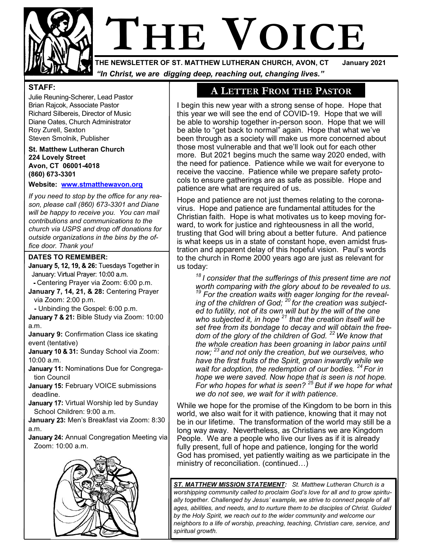

# **THE VOICE**

**THE NEWSLETTER OF ST. MATTHEW LUTHERAN CHURCH, AVON, CT** *"In Christ, we are digging deep, reaching out, changing lives."*

### **STAFF:**

Julie Reuning-Scherer, Lead Pastor Brian Rajcok, Associate Pastor Richard Silbereis, Director of Music Diane Oates, Church Administrator Roy Zurell, Sexton Steven Smolnik, Publisher

**St. Matthew Lutheran Church 224 Lovely Street Avon, CT 06001-4018 (860) 673-3301**

**Website: [www.stmatthewavon.org](http://www.stmatthewavon.org/)**

*If you need to stop by the office for any reason, please call (860) 673-3301 and Diane will be happy to receive you. You can mail contributions and communications to the church via USPS and drop off donations for outside organizations in the bins by the office door. Thank you!*

### **DATES TO REMEMBER:**

January 5, 12, 19, & 26: Tuesdays Together in January: Virtual Prayer: 10:00 a.m.

Centering Prayer via Zoom: 6:00 p.m. **January 7, 14, 21, & 28:** Centering Prayer via Zoom: 2:00 p.m.

 **-** Unbinding the Gospel: 6:00 p.m.

January 7 & 21: Bible Study via Zoom: 10:00 a.m.

**January 9:** Confirmation Class ice skating event (tentative)

January 10 & 31: Sunday School via Zoom: 10:00 a.m.

- **January 11: Nominations Due for Congrega**tion Council
- **January 15: February VOICE submissions** deadline.
- January 17: Virtual Worship led by Sunday School Children: 9:00 a.m.

**January 23: Men's Breakfast via Zoom: 8:30** a.m.

**January 24: Annual Congregation Meeting via** Zoom: 10:00 a.m.



# **A LETTER FROM THE PASTOR**

I begin this new year with a strong sense of hope. Hope that this year we will see the end of COVID-19. Hope that we will be able to worship together in-person soon. Hope that we will be able to "get back to normal" again. Hope that what we've been through as a society will make us more concerned about those most vulnerable and that we'll look out for each other more. But 2021 begins much the same way 2020 ended, with the need for patience. Patience while we wait for everyone to receive the vaccine. Patience while we prepare safety protocols to ensure gatherings are as safe as possible. Hope and patience are what are required of us.

Hope and patience are not just themes relating to the coronavirus. Hope and patience are fundamental attitudes for the Christian faith. Hope is what motivates us to keep moving forward, to work for justice and righteousness in all the world, trusting that God will bring about a better future. And patience is what keeps us in a state of constant hope, even amidst frustration and apparent delay of this hopeful vision. Paul's words to the church in Rome 2000 years ago are just as relevant for us today:

*<sup>18</sup>I consider that the sufferings of this present time are not worth comparing with the glory about to be revealed to us.*  <sup>19</sup> For the creation waits with eager longing for the reveal*ing of the children of God; <sup>20</sup>for the creation was subjected to futility, not of its own will but by the will of the one who subjected it, in hope <sup>21</sup> that the creation itself will be set free from its bondage to decay and will obtain the freedom of the glory of the children of God. <sup>22</sup>We know that the whole creation has been groaning in labor pains until now; <sup>23</sup>and not only the creation, but we ourselves, who have the first fruits of the Spirit, groan inwardly while we wait for adoption, the redemption of our bodies. <sup>24</sup>For in hope we were saved. Now hope that is seen is not hope. For who hopes for what is seen? <sup>25</sup>But if we hope for what we do not see, we wait for it with patience.*

While we hope for the promise of the Kingdom to be born in this world, we also wait for it with patience, knowing that it may not be in our lifetime. The transformation of the world may still be a long way away. Nevertheless, as Christians we are Kingdom People. We are a people who live our lives as if it is already fully present, full of hope and patience, longing for the world God has promised, yet patiently waiting as we participate in the ministry of reconciliation. (continued…)

*ST. MATTHEW MISSION STATEMENT: St. Matthew Lutheran Church is a worshipping community called to proclaim God's love for all and to grow spiritually together. Challenged by Jesus' example, we strive to connect people of all ages, abilities, and needs, and to nurture them to be disciples of Christ. Guided by the Holy Spirit, we reach out to the wider community and welcome our neighbors to a life of worship, preaching, teaching, Christian care, service, and spiritual growth.*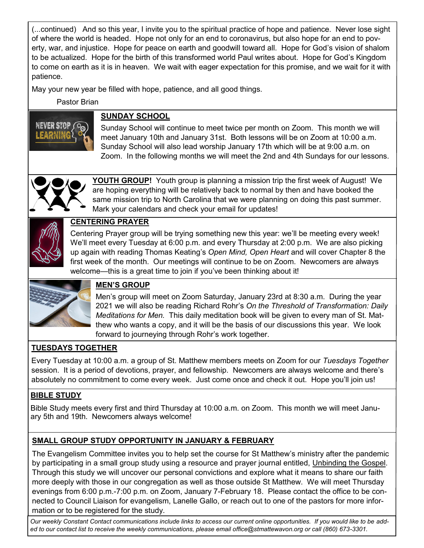(...continued) And so this year, I invite you to the spiritual practice of hope and patience. Never lose sight of where the world is headed. Hope not only for an end to coronavirus, but also hope for an end to poverty, war, and injustice. Hope for peace on earth and goodwill toward all. Hope for God's vision of shalom to be actualized. Hope for the birth of this transformed world Paul writes about. Hope for God's Kingdom to come on earth as it is in heaven. We wait with eager expectation for this promise, and we wait for it with patience.

May your new year be filled with hope, patience, and all good things.

Pastor Brian



# **SUNDAY SCHOOL**

Sunday School will continue to meet twice per month on Zoom. This month we will meet January 10th and January 31st. Both lessons will be on Zoom at 10:00 a.m. Sunday School will also lead worship January 17th which will be at 9:00 a.m. on Zoom. In the following months we will meet the 2nd and 4th Sundays for our lessons.



**YOUTH GROUP!** Youth group is planning a mission trip the first week of August! We are hoping everything will be relatively back to normal by then and have booked the same mission trip to North Carolina that we were planning on doing this past summer. Mark your calendars and check your email for updates!



# **CENTERING PRAYER**

Centering Prayer group will be trying something new this year: we'll be meeting every week! We'll meet every Tuesday at 6:00 p.m. and every Thursday at 2:00 p.m. We are also picking up again with reading Thomas Keating's *Open Mind, Open Heart* and will cover Chapter 8 the first week of the month. Our meetings will continue to be on Zoom. Newcomers are always welcome—this is a great time to join if you've been thinking about it!



# **MEN'S GROUP**

Men's group will meet on Zoom Saturday, January 23rd at 8:30 a.m. During the year 2021 we will also be reading Richard Rohr's *On the Threshold of Transformation: Daily Meditations for Men.* This daily meditation book will be given to every man of St. Matthew who wants a copy, and it will be the basis of our discussions this year. We look forward to journeying through Rohr's work together.

# **TUESDAYS TOGETHER**

Every Tuesday at 10:00 a.m. a group of St. Matthew members meets on Zoom for our *Tuesdays Together*  session. It is a period of devotions, prayer, and fellowship. Newcomers are always welcome and there's absolutely no commitment to come every week. Just come once and check it out. Hope you'll join us!

# **BIBLE STUDY**

Bible Study meets every first and third Thursday at 10:00 a.m. on Zoom. This month we will meet January 5th and 19th. Newcomers always welcome!

# **SMALL GROUP STUDY OPPORTUNITY IN JANUARY & FEBRUARY**

The Evangelism Committee invites you to help set the course for St Matthew's ministry after the pandemic by participating in a small group study using a resource and prayer journal entitled, Unbinding the Gospel. Through this study we will uncover our personal convictions and explore what it means to share our faith more deeply with those in our congregation as well as those outside St Matthew. We will meet Thursday evenings from 6:00 p.m.-7:00 p.m. on Zoom, January 7-February 18. Please contact the office to be connected to Council Liaison for evangelism, Lanelle Gallo, or reach out to one of the pastors for more information or to be registered for the study.

*Our weekly Constant Contact communications include links to access our current online opportunities. If you would like to be added to our contact list to receive the weekly communications, please email office@stmattewavon.org or call (860) 673-3301.*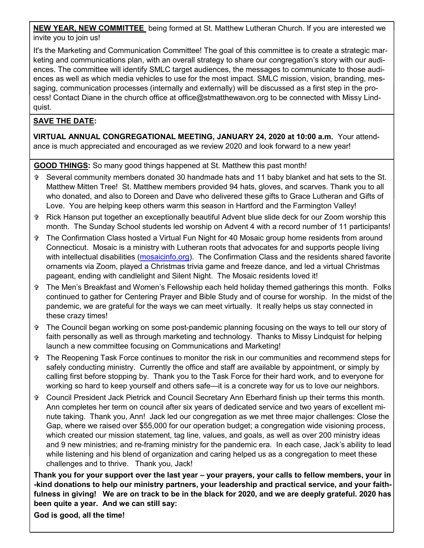**NEW YEAR, NEW COMMITTEE** being formed at St. Matthew Lutheran Church. If you are interested we invite you to join us!

It's the Marketing and Communication Committee! The goal of this committee is to create a strategic marketing and communications plan, with an overall strategy to share our congregation's story with our audiences. The committee will identify SMLC target audiences, the messages to communicate to those audiences as well as which media vehicles to use for the most impact. SMLC mission, vision, branding, messaging, communication processes (internally and externally) will be discussed as a first step in the process! Contact Diane in the church office at office@stmatthewavon.org to be connected with Missy Lindquist.

# **SAVE THE DATE:**

**VIRTUAL ANNUAL CONGREGATIONAL MEETING, JANUARY 24, 2020 at 10:00 a.m.** Your attendance is much appreciated and encouraged as we review 2020 and look forward to a new year!

**GOOD THINGS:** So many good things happened at St. Matthew this past month!

- Several community members donated 30 handmade hats and 11 baby blanket and hat sets to the St. Matthew Mitten Tree! St. Matthew members provided 94 hats, gloves, and scarves. Thank you to all who donated, and also to Doreen and Dave who delivered these gifts to Grace Lutheran and Gifts of Love. You are helping keep others warm this season in Hartford and the Farmington Valley!
- Rick Hanson put together an exceptionally beautiful Advent blue slide deck for our Zoom worship this month. The Sunday School students led worship on Advent 4 with a record number of 11 participants!
- The Confirmation Class hosted a Virtual Fun Night for 40 Mosaic group home residents from around Connecticut. Mosaic is a ministry with Lutheran roots that advocates for and supports people living with intellectual disabilities ([mosaicinfo.org\)](https://www.mosaicinfo.org/). The Confirmation Class and the residents shared favorite ornaments via Zoom, played a Christmas trivia game and freeze dance, and led a virtual Christmas pageant, ending with candlelight and Silent Night. The Mosaic residents loved it!
- The Men's Breakfast and Women's Fellowship each held holiday themed gatherings this month. Folks continued to gather for Centering Prayer and Bible Study and of course for worship. In the midst of the pandemic, we are grateful for the ways we can meet virtually. It really helps us stay connected in these crazy times!
- The Council began working on some post-pandemic planning focusing on the ways to tell our story of faith personally as well as through marketing and technology. Thanks to Missy Lindquist for helping launch a new committee focusing on Communications and Marketing!
- The Reopening Task Force continues to monitor the risk in our communities and recommend steps for safely conducting ministry. Currently the office and staff are available by appointment, or simply by calling first before stopping by. Thank you to the Task Force for their hard work, and to everyone for working so hard to keep yourself and others safe—it is a concrete way for us to love our neighbors.
- Council President Jack Pietrick and Council Secretary Ann Eberhard finish up their terms this month. Ann completes her term on council after six years of dedicated service and two years of excellent minute taking. Thank you, Ann! Jack led our congregation as we met three major challenges: Close the Gap, where we raised over \$55,000 for our operation budget; a congregation wide visioning process, which created our mission statement, tag line, values, and goals, as well as over 200 ministry ideas and 9 new ministries; and re-framing ministry for the pandemic era. In each case, Jack's ability to lead while listening and his blend of organization and caring helped us as a congregation to meet these challenges and to thrive. Thank you, Jack!

**Thank you for your support over the last year – your prayers, your calls to fellow members, your in -kind donations to help our ministry partners, your leadership and practical service, and your faithfulness in giving! We are on track to be in the black for 2020, and we are deeply grateful. 2020 has been quite a year. And we can still say:**

**God is good, all the time!**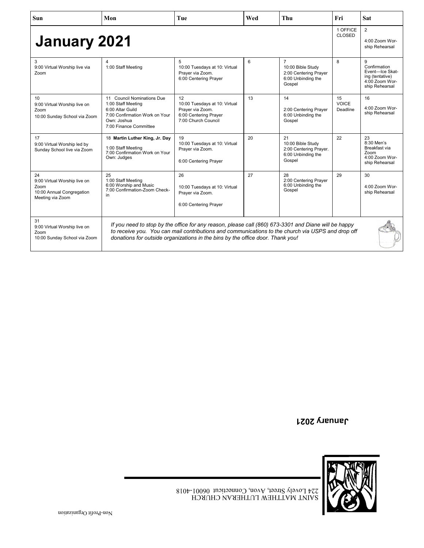| <b>Sun</b>                                                                                  | Mon                                                                                                                                                                                                                                                                                         | Tue                                                                                                     | Wed | Thu                                                                                          | Fri                       | <b>Sat</b>                                                                                  |
|---------------------------------------------------------------------------------------------|---------------------------------------------------------------------------------------------------------------------------------------------------------------------------------------------------------------------------------------------------------------------------------------------|---------------------------------------------------------------------------------------------------------|-----|----------------------------------------------------------------------------------------------|---------------------------|---------------------------------------------------------------------------------------------|
| <b>January 2021</b>                                                                         |                                                                                                                                                                                                                                                                                             |                                                                                                         |     |                                                                                              | 1 OFFICE<br><b>CLOSED</b> | $\overline{2}$<br>4:00 Zoom Wor-<br>ship Rehearsal                                          |
| 3<br>9:00 Virtual Worship live via<br>Zoom                                                  | 1:00 Staff Meeting                                                                                                                                                                                                                                                                          | 5<br>10:00 Tuesdays at 10: Virtual<br>Prayer via Zoom.<br>6:00 Centering Prayer                         | 6   | $\overline{7}$<br>10:00 Bible Study<br>2:00 Centering Prayer<br>6:00 Unbinding the<br>Gospel | 8                         | 9<br>Confirmation<br>Event-Ice Skat-<br>ing (tentative)<br>4:00 Zoom Wor-<br>ship Rehearsal |
| 10<br>9:00 Virtual Worship live on<br>Zoom<br>10:00 Sunday School via Zoom                  | 11 Council Nominations Due<br>1:00 Staff Meeting<br>6:00 Altar Guild<br>7:00 Confirmation Work on Your<br>Own: Joshua<br>7:00 Finance Committee                                                                                                                                             | 12<br>10:00 Tuesdays at 10: Virtual<br>Prayer via Zoom.<br>6:00 Centering Prayer<br>7:00 Church Council | 13  | 14<br>2:00 Centering Prayer<br>6:00 Unbinding the<br>Gospel                                  | 15<br>VOICE<br>Deadline   | 16<br>4:00 Zoom Wor-<br>ship Rehearsal                                                      |
| 17<br>9:00 Virtual Worship led by<br>Sunday School live via Zoom                            | 18 Martin Luther King, Jr. Day<br>1:00 Staff Meeting<br>7:00 Confirmation Work on Your<br>Own: Judges                                                                                                                                                                                       | 19<br>10:00 Tuesdays at 10: Virtual<br>Prayer via Zoom.<br>6:00 Centering Prayer                        | 20  | 21<br>10:00 Bible Study<br>2:00 Centering Prayer.<br>6:00 Unbinding the<br>Gospel            | 22                        | 23<br>8:30 Men's<br>Breakfast via<br>Zoom<br>4:00 Zoom Wor-<br>ship Rehearsal               |
| 24<br>9:00 Virtual Worship live on<br>Zoom<br>10:00 Annual Congregation<br>Meeting via Zoom | 25<br>1:00 Staff Meeting<br>6:00 Worship and Music<br>7:00 Confirmation-Zoom Check-<br>in                                                                                                                                                                                                   | 26<br>10:00 Tuesdays at 10: Virtual<br>Prayer via Zoom.<br>6:00 Centering Prayer                        | 27  | 28<br>2:00 Centering Praver<br>6:00 Unbinding the<br>Gospel                                  | 29                        | 30<br>4:00 Zoom Wor-<br>ship Rehearsal                                                      |
| 31<br>9:00 Virtual Worship live on<br>Zoom<br>10:00 Sunday School via Zoom                  | If you need to stop by the office for any reason, please call (860) 673-3301 and Diane will be happy<br>to receive you. You can mail contributions and communications to the church via USPS and drop off<br>donations for outside organizations in the bins by the office door. Thank you! |                                                                                                         |     |                                                                                              |                           |                                                                                             |

**January 2021**

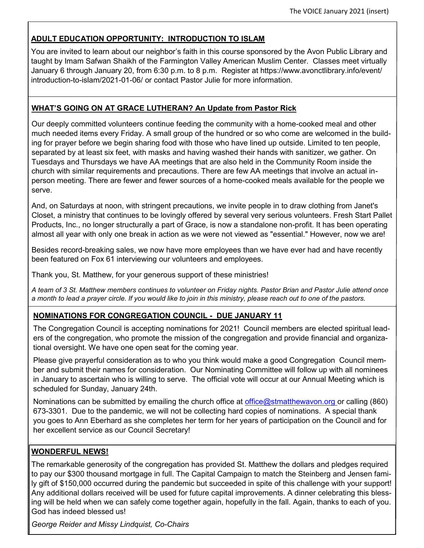# **ADULT EDUCATION OPPORTUNITY: INTRODUCTION TO ISLAM**

You are invited to learn about our neighbor's faith in this course sponsored by the Avon Public Library and taught by Imam Safwan Shaikh of the Farmington Valley American Muslim Center. Classes meet virtually January 6 through January 20, from 6:30 p.m. to 8 p.m. Register at https://www.avonctlibrary.info/event/ introduction-to-islam/2021-01-06/ or contact Pastor Julie for more information.

### **WHAT'S GOING ON AT GRACE LUTHERAN? An Update from Pastor Rick**

Our deeply committed volunteers continue feeding the community with a home-cooked meal and other much needed items every Friday. A small group of the hundred or so who come are welcomed in the building for prayer before we begin sharing food with those who have lined up outside. Limited to ten people, separated by at least six feet, with masks and having washed their hands with sanitizer, we gather. On Tuesdays and Thursdays we have AA meetings that are also held in the Community Room inside the church with similar requirements and precautions. There are few AA meetings that involve an actual inperson meeting. There are fewer and fewer sources of a home-cooked meals available for the people we serve.

And, on Saturdays at noon, with stringent precautions, we invite people in to draw clothing from Janet's Closet, a ministry that continues to be lovingly offered by several very serious volunteers. Fresh Start Pallet Products, Inc., no longer structurally a part of Grace, is now a standalone non-profit. It has been operating almost all year with only one break in action as we were not viewed as "essential." However, now we are!

Besides record-breaking sales, we now have more employees than we have ever had and have recently been featured on Fox 61 interviewing our volunteers and employees.

Thank you, St. Matthew, for your generous support of these ministries!

*A team of 3 St. Matthew members continues to volunteer on Friday nights. Pastor Brian and Pastor Julie attend once a month to lead a prayer circle. If you would like to join in this ministry, please reach out to one of the pastors.*

### **NOMINATIONS FOR CONGREGATION COUNCIL - DUE JANUARY 11**

The Congregation Council is accepting nominations for 2021! Council members are elected spiritual leaders of the congregation, who promote the mission of the congregation and provide financial and organizational oversight. We have one open seat for the coming year.

Please give prayerful consideration as to who you think would make a good Congregation Council member and submit their names for consideration. Our Nominating Committee will follow up with all nominees in January to ascertain who is willing to serve. The official vote will occur at our Annual Meeting which is scheduled for Sunday, January 24th.

Nominations can be submitted by emailing the church office at office@stmatthewavon.org or calling (860) 673-3301. Due to the pandemic, we will not be collecting hard copies of nominations. A special thank you goes to Ann Eberhard as she completes her term for her years of participation on the Council and for her excellent service as our Council Secretary!

### **WONDERFUL NEWS!**

The remarkable generosity of the congregation has provided St. Matthew the dollars and pledges required to pay our \$300 thousand mortgage in full. The Capital Campaign to match the Steinberg and Jensen family gift of \$150,000 occurred during the pandemic but succeeded in spite of this challenge with your support! Any additional dollars received will be used for future capital improvements. A dinner celebrating this blessing will be held when we can safely come together again, hopefully in the fall. Again, thanks to each of you. God has indeed blessed us!

*George Reider and Missy Lindquist, Co-Chairs*